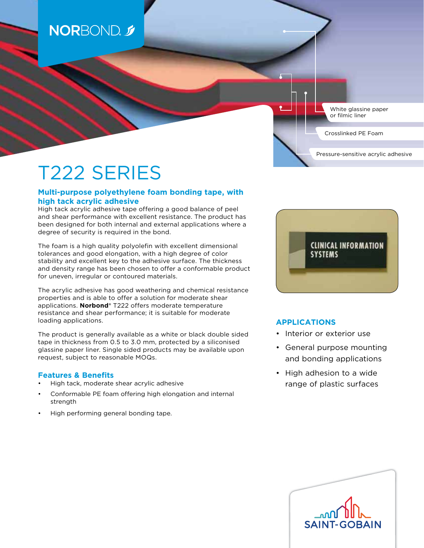# **NORBOND**

White glassine paper or filmic liner

Pressure-sensitive acrylic adhesive

Crosslinked PE Foam

# T222 SERIES

### **Multi-purpose polyethylene foam bonding tape, with high tack acrylic adhesive**

High tack acrylic adhesive tape offering a good balance of peel and shear performance with excellent resistance. The product has been designed for both internal and external applications where a degree of security is required in the bond.

The foam is a high quality polyolefin with excellent dimensional tolerances and good elongation, with a high degree of color stability and excellent key to the adhesive surface. The thickness and density range has been chosen to offer a conformable product for uneven, irregular or contoured materials.

The acrylic adhesive has good weathering and chemical resistance properties and is able to offer a solution for moderate shear applications. **Norbond®** T222 offers moderate temperature resistance and shear performance; it is suitable for moderate loading applications.

The product is generally available as a white or black double sided tape in thickness from 0.5 to 3.0 mm, protected by a siliconised glassine paper liner. Single sided products may be available upon request, subject to reasonable MOQs.

#### **Features & Benefits**

- High tack, moderate shear acrylic adhesive
- Conformable PE foam offering high elongation and internal strength
- High performing general bonding tape.



## **APPLICATIONS**

- Interior or exterior use
- General purpose mounting and bonding applications
- High adhesion to a wide range of plastic surfaces